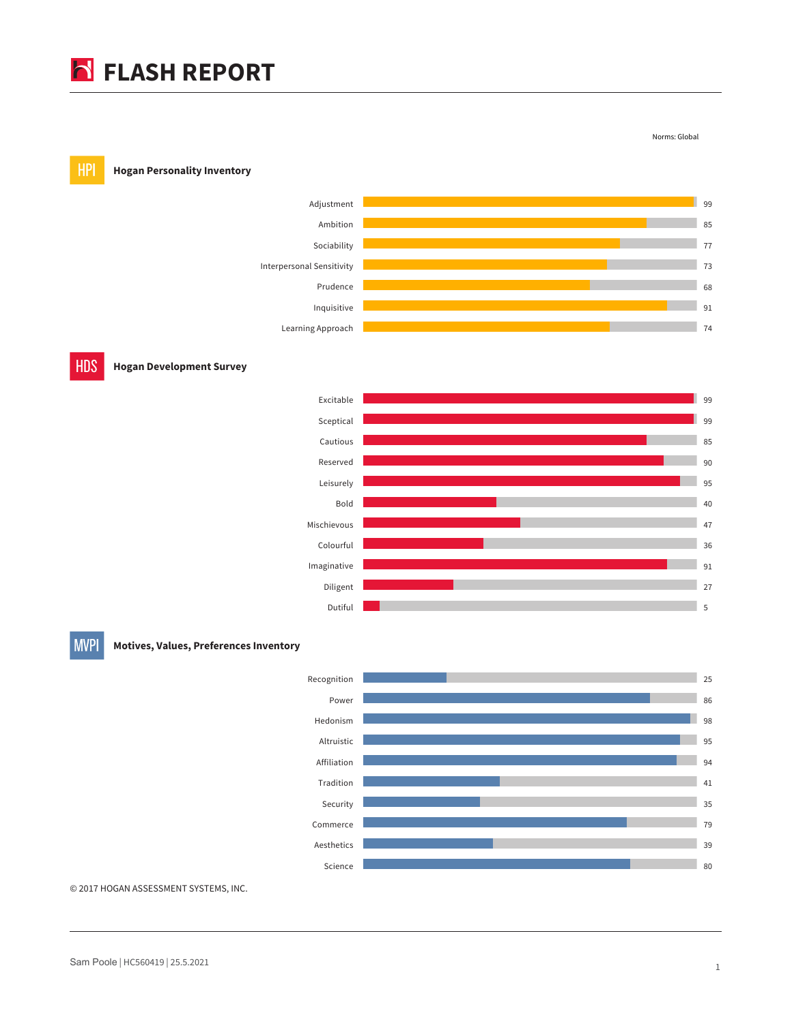## **FLASH REPORT**







**MVPI** 

**Motives, Values, Preferences Inventory**



© 2017 HOGAN ASSESSMENT SYSTEMS, INC.